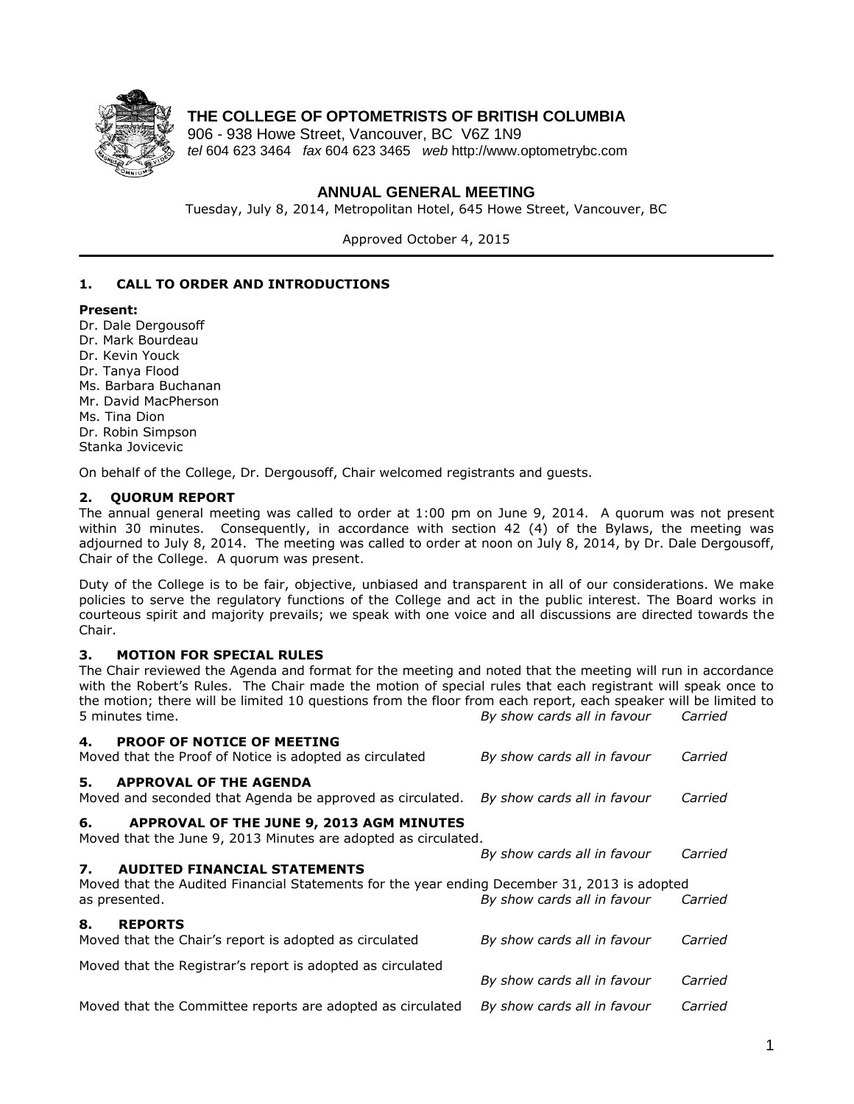

# **THE COLLEGE OF OPTOMETRISTS OF BRITISH COLUMBIA**

906 - 938 Howe Street, Vancouver, BC V6Z 1N9 *tel* 604 623 3464 *fax* 604 623 3465 *web* http://www.optometrybc.com

### **ANNUAL GENERAL MEETING**

Tuesday, July 8, 2014, Metropolitan Hotel, 645 Howe Street, Vancouver, BC

Approved October 4, 2015

### **1. CALL TO ORDER AND INTRODUCTIONS**

#### **Present:**

Dr. Dale Dergousoff Dr. Mark Bourdeau Dr. Kevin Youck Dr. Tanya Flood Ms. Barbara Buchanan Mr. David MacPherson Ms. Tina Dion Dr. Robin Simpson Stanka Jovicevic

On behalf of the College, Dr. Dergousoff, Chair welcomed registrants and guests.

#### **2. QUORUM REPORT**

The annual general meeting was called to order at 1:00 pm on June 9, 2014. A quorum was not present within 30 minutes. Consequently, in accordance with section 42 (4) of the Bylaws, the meeting was adjourned to July 8, 2014. The meeting was called to order at noon on July 8, 2014, by Dr. Dale Dergousoff, Chair of the College. A quorum was present.

Duty of the College is to be fair, objective, unbiased and transparent in all of our considerations. We make policies to serve the regulatory functions of the College and act in the public interest. The Board works in courteous spirit and majority prevails; we speak with one voice and all discussions are directed towards the Chair.

#### **3. MOTION FOR SPECIAL RULES**

The Chair reviewed the Agenda and format for the meeting and noted that the meeting will run in accordance with the Robert's Rules. The Chair made the motion of special rules that each registrant will speak once to the motion; there will be limited 10 questions from the floor from each report, each speaker will be limited to 5 minutes time. *By show cards all in favour Carried*

| <b>PROOF OF NOTICE OF MEETING</b><br>4.<br>Moved that the Proof of Notice is adopted as circulated                                        | By show cards all in favour | Carried |
|-------------------------------------------------------------------------------------------------------------------------------------------|-----------------------------|---------|
| 5.<br><b>APPROVAL OF THE AGENDA</b><br>Moved and seconded that Agenda be approved as circulated.                                          | By show cards all in favour | Carried |
| APPROVAL OF THE JUNE 9, 2013 AGM MINUTES<br>6.<br>Moved that the June 9, 2013 Minutes are adopted as circulated.                          |                             |         |
| <b>AUDITED FINANCIAL STATEMENTS</b><br>7.<br>Moved that the Audited Financial Statements for the year ending December 31, 2013 is adopted | By show cards all in favour | Carried |
| as presented.                                                                                                                             | By show cards all in favour | Carried |
| <b>REPORTS</b><br>8.<br>Moved that the Chair's report is adopted as circulated                                                            | By show cards all in favour | Carried |
| Moved that the Registrar's report is adopted as circulated                                                                                |                             |         |
|                                                                                                                                           | By show cards all in favour | Carried |
| Moved that the Committee reports are adopted as circulated                                                                                | By show cards all in favour | Carried |